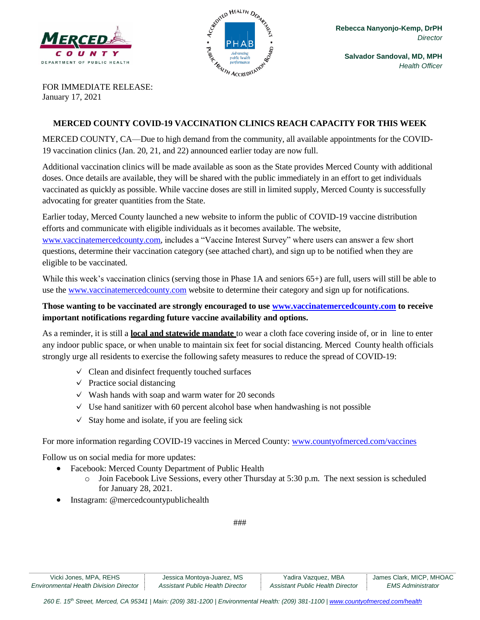



**Salvador Sandoval, MD, MPH** *Health Officer*

FOR IMMEDIATE RELEASE: January 17, 2021

## **MERCED COUNTY COVID-19 VACCINATION CLINICS REACH CAPACITY FOR THIS WEEK**

MERCED COUNTY, CA—Due to high demand from the community, all available appointments for the COVID-19 vaccination clinics (Jan. 20, 21, and 22) announced earlier today are now full.

Additional vaccination clinics will be made available as soon as the State provides Merced County with additional doses. Once details are available, they will be shared with the public immediately in an effort to get individuals vaccinated as quickly as possible. While vaccine doses are still in limited supply, Merced County is successfully advocating for greater quantities from the State.

Earlier today, Merced County launched a new website to inform the public of COVID-19 vaccine distribution efforts and communicate with eligible individuals as it becomes available. The website,

[www.vaccinatemercedcounty.com,](http://www.vaccinatemercedcounty.com/) includes a "Vaccine Interest Survey" where users can answer a few short questions, determine their vaccination category (see attached chart), and sign up to be notified when they are eligible to be vaccinated.

While this week's vaccination clinics (serving those in Phase 1A and seniors 65+) are full, users will still be able to use the [www.vaccinatemercedcounty.com](http://www.vaccinatemercedcounty.com/) website to determine their category and sign up for notifications.

**Those wanting to be vaccinated are strongly encouraged to use [www.vaccinatemercedcounty.com](http://www.vaccinatemercedcounty.com/) to receive important notifications regarding future vaccine availability and options.** 

As a reminder, it is still a **local and statewide mandate** to wear a cloth face covering inside of, or in line to enter any indoor public space, or when unable to maintain six feet for social distancing. Merced County health officials strongly urge all residents to exercise the following safety measures to reduce the spread of COVID-19:

- $\vee$  Clean and disinfect frequently touched surfaces
- $\vee$  Practice social distancing
- $\vee$  Wash hands with soap and warm water for 20 seconds
- $\vee$  Use hand sanitizer with 60 percent alcohol base when handwashing is not possible
- $\checkmark$  Stay home and isolate, if you are feeling sick

For more information regarding COVID-19 vaccines in Merced County: [www.countyofmerced.com/vaccines](http://www.countyofmerced.com/vaccines)

Follow us on social media for more updates:

- Facebook: Merced County Department of Public Health
	- $\circ$  Join Facebook Live Sessions, every other Thursday at 5:30 p.m. The next session is scheduled for January 28, 2021.
- Instagram: @mercedcountypublichealth

###